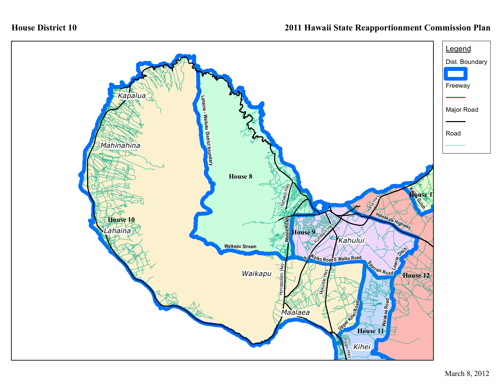